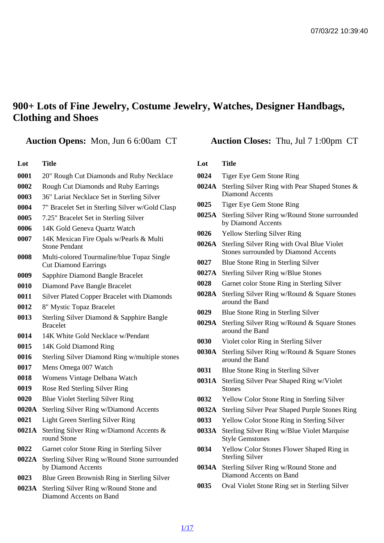## 900+ Lots of Fine Jewelry, Costume Jewelry, Watches, Designer Handbags, Clothing and Shoes

Auction Opens: Mon, Jun 6 6:00am CT Auction Closes: Thu, Jul 7 1:00pm CT

#### Lot Title

- 0001 20" Rough Cut Diamonds and Ruby Necklace
- 0002 Rough Cut Diamonds and Ruby Earrings
- 0003 36" Lariat Necklace Set in Sterling Silver
- 0004 7" Bracelet Set in Sterling Silver w/Gold Clasp
- 0005 7.25" Bracelet Set in Sterling Silver
- 0006 14K Gold Geneva Quartz Watch
- 0007 14K Mexican Fire Opals w/Pearls & Multi Stone Pendant
- 0008 Multi-colored Tourmaline/blue Topaz Single Cut Diamond Earrings
- 0009 Sapphire Diamond Bangle Bracelet
- 0010 Diamond Pave Bangle Bracelet
- 0011 Silver Plated Copper Bracelet with Diamonds
- 0012 8" Mystic Topaz Bracelet
- 0013 Sterling Silver Diamond & Sapphire Bangle **Bracelet**
- 0014 14K White Gold Necklace w/Pendant
- 0015 14K Gold Diamond Ring
- 0016 Sterling Silver Diamond Ring w/multiple stones
- 0017 Mens Omega 007 Watch
- 0018 Womens Vintage Delbana Watch
- 0019 Rose Red Sterling Silver Ring
- 0020 Blue Violet Sterling Silver Ring
- 0020A Sterling Silver Ring w/Diamond Accents
- 0021 Light Green Sterling Silver Ring
- 0021A Sterling Silver Ring w/Diamond Accents & round Stone
- 0022 Garnet color Stone Ring in Sterling Silver
- 0022A Sterling Silver Ring w/Round Stone surrounded by Diamond Accents
- 0023 Blue Green Brownish Ring in Sterling Silver
- 0023A Sterling Silver Ring w/Round Stone and Diamond Accents on Band

- 0024 Tiger Eye Gem Stone Ring
- 0024A Sterling Silver Ring with Pear Shaped Stones & Diamond Accents
- 0025 Tiger Eye Gem Stone Ring
- 0025A Sterling Silver Ring w/Round Stone surrounded by Diamond Accents
- 0026 Yellow Sterling Silver Ring
- 0026A Sterling Silver Ring with Oval Blue Violet Stones surrounded by Diamond Accents
- 0027 Blue Stone Ring in Sterling Silver
- 0027A Sterling Silver Ring w/Blue Stones
- 0028 Garnet color Stone Ring in Sterling Silver
- 0028A Sterling Silver Ring w/Round & Square Stones around the Band
- 0029 Blue Stone Ring in Sterling Silver
- 0029A Sterling Silver Ring w/Round & Square Stones around the Band
- 0030 Violet color Ring in Sterling Silver
- 0030A Sterling Silver Ring w/Round & Square Stones around the Band
- 0031 Blue Stone Ring in Sterling Silver
- 0031A Sterling Silver Pear Shaped Ring w/Violet **Stones**
- 0032 Yellow Color Stone Ring in Sterling Silver
- 0032A Sterling Silver Pear Shaped Purple Stones Ring
- 0033 Yellow Color Stone Ring in Sterling Silver
- 0033A Sterling Silver Ring w/Blue Violet Marquise Style Gemstones
- 0034 Yellow Color Stones Flower Shaped Ring in Sterling Silver
- 0034A Sterling Silver Ring w/Round Stone and Diamond Accents on Band
- 0035 Oval Violet Stone Ring set in Sterling Silver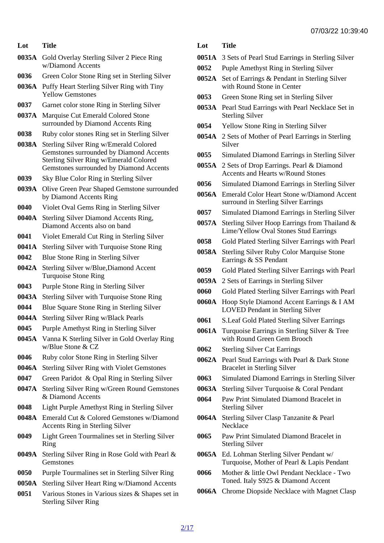- Lot Title
- 0035A Gold Overlay Sterling Silver 2 Piece Ring w/Diamond Accents
- 0036 Green Color Stone Ring set in Sterling Silver
- 0036A Puffy Heart Sterling Silver Ring with Tiny Yellow Gemstones
- 0037 Garnet color stone Ring in Sterling Silver
- 0037A Marquise Cut Emerald Colored Stone surrounded by Diamond Accents Ring
- 0038 Ruby color stones Ring set in Sterling Silver
- 0038A Sterling Silver Ring w/Emerald Colored Gemstones surrounded by Diamond Accents Sterling Silver Ring w/Emerald Colored Gemstones surrounded by Diamond Accents
- 0039 Sky Blue Color Ring in Sterling Silver
- 0039A Olive Green Pear Shaped Gemstone surrounded by Diamond Accents Ring
- 0040 Violet Oval Gems Ring in Sterling Silver
- 0040A Sterling Silver Diamond Accents Ring, Diamond Accents also on band
- 0041 Violet Emerald Cut Ring in Sterling Silver
- 0041A Sterling Silver with Turquoise Stone Ring
- 0042 Blue Stone Ring in Sterling Silver
- 0042A Sterling Silver w/Blue,Diamond Accent Turquoise Stone Ring
- 0043 Purple Stone Ring in Sterling Silver
- 0043A Sterling Silver with Turquoise Stone Ring
- 0044 Blue Square Stone Ring in Sterling Silver
- 0044A Sterling Silver Ring w/Black Pearls
- 0045 Purple Amethyst Ring in Sterling Silver
- 0045A Vanna K Sterling Silver in Gold Overlay Ring w/Blue Stone & CZ
- 0046 Ruby color Stone Ring in Sterling Silver
- 0046A Sterling Silver Ring with Violet Gemstones
- 0047 Green Paridot & Opal Ring in Sterling Silver
- 0047A Sterling Silver Ring w/Green Round Gemstones & Diamond Accents
- 0048 Light Purple Amethyst Ring in Sterling Silver
- 0048A Emerald Cut & Colored Gemstones w/Diamond Accents Ring in Sterling Silver
- 0049 Light Green Tourmalines set in Sterling Silver Ring
- 0049A Sterling Silver Ring in Rose Gold with Pearl & **Gemstones**
- 0050 Purple Tourmalines set in Sterling Silver Ring
- 0050A Sterling Silver Heart Ring w/Diamond Accents
- 0051 Various Stones in Various sizes & Shapes set in <sup>0066A</sup> Chrome Diopside Necklace with Magnet Clasp Sterling Silver Ring
- Lot Title
- 0051A 3 Sets of Pearl Stud Earrings in Sterling Silver
- 0052 Puple Amethyst Ring in Sterling Silver
- 0052A Set of Earrings & Pendant in Sterling Silver with Round Stone in Center
- 0053 Green Stone Ring set in Sterling Silver
- 0053A Pearl Stud Earrings with Pearl Necklace Set in Sterling Silver
- 0054 Yellow Stone Ring in Sterling Silver
- 0054A 2 Sets of Mother of Pearl Earrings in Sterling Silver
- 0055 Simulated Diamond Earrings in Sterling Silver
- 0055A 2 Sets of Drop Earrings. Pearl & Diamond Accents and Hearts w/Round Stones
- 0056 Simulated Diamond Earrings in Sterling Silver
- 0056A Emerald Color Heart Stone w/Diamond Accent surround in Sterling Silver Earrings
- 0057 Simulated Diamond Earrings in Sterling Silver
- 0057A Sterling Silver Hoop Earrings from Thailand & Lime/Yellow Oval Stones Stud Earrings
- 0058 Gold Plated Sterling Silver Earrings with Pearl
- 0058A Sterling Silver Ruby Color Marquise Stone Earrings & SS Pendant
- 0059 Gold Plated Sterling Silver Earrings with Pearl
- 0059A 2 Sets of Earrings in Sterling Silver
- 0060 Gold Plated Sterling Silver Earrings with Pearl
- 0060A Hoop Style Diamond Accent Earrings & I AM LOVED Pendant in Sterling Silver
- 0061 S.Leaf Gold Plated Sterling Silver Earrings
- 0061A Turquoise Earrings in Sterling Silver & Tree with Round Green Gem Brooch
- 0062 Sterling Silver Cat Earrings
- 0062A Pearl Stud Earrings with Pearl & Dark Stone Bracelet in Sterling Silver
- 0063 Simulated Diamond Earrings in Sterling Silver
- 0063A Sterling Silver Turquoise & Coral Pendant
- 0064 Paw Print Simulated Diamond Bracelet in Sterling Silver
- 0064A Sterling Silver Clasp Tanzanite & Pearl **Necklace**
- 0065 Paw Print Simulated Diamond Bracelet in Sterling Silver
- 0065A Ed. Lohman Sterling Silver Pendant w/ Turquoise, Mother of Pearl & Lapis Pendant
- 0066 Mother & little Owl Pendant Necklace Two Toned. Italy S925 & Diamond Accent
	-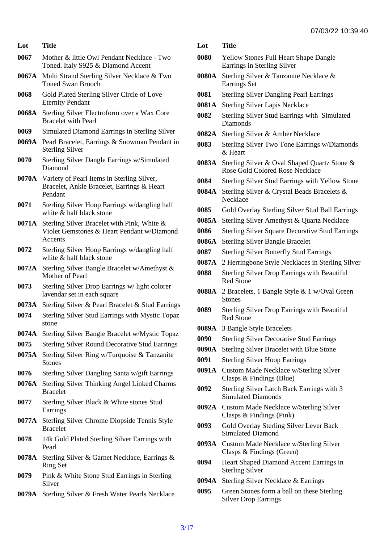- Lot Title
- 0067 Mother & little Owl Pendant Necklace Two Toned. Italy S925 & Diamond Accent
- 0067A Multi Strand Sterling Silver Necklace & Two Toned Swan Brooch
- 0068 Gold Plated Sterling Silver Circle of Love Eternity Pendant
- 0068A Sterling Silver Electroform over a Wax Core Bracelet with Pearl
- 0069 Simulated Diamond Earrings in Sterling Silver
- 0069A Pearl Bracelet, Earrings & Snowman Pendant in Sterling Silver
- 0070 Sterling Silver Dangle Earrings w/Simulated Diamond
- 0070A Variety of Pearl Items in Sterling Silver, Bracelet, Ankle Bracelet, Earrings & Heart Pendant
- 0071 Sterling Silver Hoop Earrings w/dangling half white & half black stone
- 0071A Sterling Silver Bracelet with Pink, White & Violet Gemstones & Heart Pendant w/Diamond **Accents**
- 0072 Sterling Silver Hoop Earrings w/dangling half white & half black stone
- 0072A Sterling Silver Bangle Bracelet w/Amethyst & Mother of Pearl
- 0073 Sterling Silver Drop Earrings w/ light colorer lavendar set in each square
- 0073A Sterling Silver & Pearl Bracelet & Stud Earrings
- 0074 Sterling Silver Stud Earrings with Mystic Topaz stone
- 0074A Sterling Silver Bangle Bracelet w/Mystic Topaz
- 0075 Sterling Silver Round Decorative Stud Earrings
- 0075A Sterling Silver Ring w/Turquoise & Tanzanite **Stones**
- 0076 Sterling Silver Dangling Santa w/gift Earrings
- 0076A Sterling Silver Thinking Angel Linked Charms Bracelet
- 0077 Sterling Silver Black & White stones Stud Earrings
- 0077A Sterling Silver Chrome Diopside Tennis Style **Bracelet**
- 0078 14k Gold Plated Sterling Silver Earrings with Pearl
- 0078A Sterling Silver & Garnet Necklace, Earrings & Ring Set
- 0079 Pink & White Stone Stud Earrings in Sterling Silver
- 0079A Sterling Silver & Fresh Water Pearls Necklace

- 0080 Yellow Stones Full Heart Shape Dangle Earrings in Sterling Silver
- 0080A Sterling Silver & Tanzanite Necklace & Earrings Set
- 0081 Sterling Silver Dangling Pearl Earrings
- 0081A Sterling Silver Lapis Necklace
- 0082 Sterling Silver Stud Earrings with Simulated **Diamonds**
- 0082A Sterling Silver & Amber Necklace
- 0083 Sterling Silver Two Tone Earrings w/Diamonds & Heart
- 0083A Sterling Silver & Oval Shaped Quartz Stone & Rose Gold Colored Rose Necklace
- 0084 Sterling Silver Stud Earrings with Yellow Stone
- 0084A Sterling Silver & Crystal Beads Bracelets & **Necklace**
- 0085 Gold Overlay Sterling Silver Stud Ball Earrings
- 0085A Sterling Silver Amethyst & Quartz Necklace
- 0086 Sterling Silver Square Decorative Stud Earrings
- 0086A Sterling Silver Bangle Bracelet
- 0087 Sterling Silver Butterfly Stud Earrings
- 0087A 2 Herringbone Style Necklaces in Sterling Silver
- 0088 Sterling Silver Drop Earrings with Beautiful Red Stone
- 0088A 2 Bracelets, 1 Bangle Style & 1 w/Oval Green **Stones**
- 0089 Sterling Silver Drop Earrings with Beautiful Red Stone
- 0089A 3 Bangle Style Bracelets
- 0090 Sterling Silver Decorative Stud Earrings
- 0090A Sterling Silver Bracelet with Blue Stone
- 0091 Sterling Silver Hoop Earrings
- 0091A Custom Made Necklace w/Sterling Silver Clasps & Findings (Blue)
- 0092 Sterling Silver Latch Back Earrings with 3 Simulated Diamonds
- 0092A Custom Made Necklace w/Sterling Silver Clasps & Findings (Pink)
- 0093 Gold Overlay Sterling Silver Lever Back Simulated Diamond
- 0093A Custom Made Necklace w/Sterling Silver Clasps & Findings (Green)
- 0094 Heart Shaped Diamond Accent Earrings in Sterling Silver
- 0094A Sterling Silver Necklace & Earrings
- 0095 Green Stones form a ball on these Sterling Silver Drop Earrings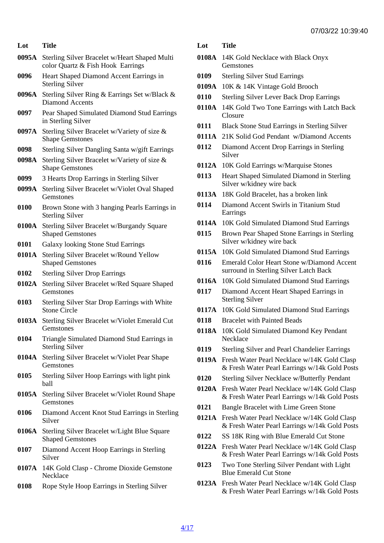- 0095A Sterling Silver Bracelet w/Heart Shaped Multi color Quartz & Fish Hook Earrings
- 0096 Heart Shaped Diamond Accent Earrings in Sterling Silver
- 0096A Sterling Silver Ring & Earrings Set w/Black & Diamond Accents
- 0097 Pear Shaped Simulated Diamond Stud Earrings in Sterling Silver
- 0097A Sterling Silver Bracelet w/Variety of size & Shape Gemstones
- 0098 Sterling Silver Dangling Santa w/gift Earrings
- 0098A Sterling Silver Bracelet w/Variety of size & Shape Gemstones
- 0099 3 Hearts Drop Earrings in Sterling Silver
- 0099A Sterling Silver Bracelet w/Violet Oval Shaped **Gemstones**
- 0100 Brown Stone with 3 hanging Pearls Earrings in Sterling Silver
- 0100A Sterling Silver Bracelet w/Burgandy Square Shaped Gemstones
- 0101 Galaxy looking Stone Stud Earrings
- 0101A Sterling Silver Bracelet w/Round Yellow Shaped Gemstones
- 0102 Sterling Silver Drop Earrings
- 0102A Sterling Silver Bracelet w/Red Square Shaped **Gemstones**
- 0103 Sterling Silver Star Drop Earrings with White Stone Circle
- 0103A Sterling Silver Bracelet w/Violet Emerald Cut **Gemstones**
- 0104 Triangle Simulated Diamond Stud Earrings in Sterling Silver
- 0104A Sterling Silver Bracelet w/Violet Pear Shape **Gemstones**
- 0105 Sterling Silver Hoop Earrings with light pink ball
- 0105A Sterling Silver Bracelet w/Violet Round Shape **Gemstones**
- 0106 Diamond Accent Knot Stud Earrings in Sterling Silver
- 0106A Sterling Silver Bracelet w/Light Blue Square Shaped Gemstones
- 0107 Diamond Accent Hoop Earrings in Sterling Silver
- 0107A 14K Gold Clasp Chrome Dioxide Gemstone **Necklace**
- 0108 Rope Style Hoop Earrings in Sterling Silver

- 0108A 14K Gold Necklace with Black Onyx **Gemstones**
- 0109 Sterling Silver Stud Earrings
- 0109A 10K & 14K Vintage Gold Brooch
- 0110 Sterling Silver Lever Back Drop Earrings
- 0110A 14K Gold Two Tone Earrings with Latch Back **Closure**
- 0111 Black Stone Stud Earrings in Sterling Silver
- 0111A 21K Solid God Pendant w/Diamond Accents
- 0112 Diamond Accent Drop Earrings in Sterling Silver
- 0112A 10K Gold Earrings w/Marquise Stones
- 0113 Heart Shaped Simulated Diamond in Sterling Silver w/kidney wire back
- 0113A 18K Gold Bracelet, has a broken link
- 0114 Diamond Accent Swirls in Titanium Stud Earrings
- 0114A 10K Gold Simulated Diamond Stud Earrings
- 0115 Brown Pear Shaped Stone Earrings in Sterling Silver w/kidney wire back
- 0115A 10K Gold Simulated Diamond Stud Earrings
- 0116 Emerald Color Heart Stone w/Diamond Accent surround in Sterling Silver Latch Back
- 0116A 10K Gold Simulated Diamond Stud Earrings
- 0117 Diamond Accent Heart Shaped Earrings in Sterling Silver
- 0117A 10K Gold Simulated Diamond Stud Earrings
- 0118 Bracelet with Painted Beads
- 0118A 10K Gold Simulated Diamond Key Pendant **Necklace**
- 0119 Sterling Silver and Pearl Chandelier Earrings
- 0119A Fresh Water Pearl Necklace w/14K Gold Clasp & Fresh Water Pearl Earrings w/14k Gold Posts
- 0120 Sterling Silver Necklace w/Butterfly Pendant
- 0120A Fresh Water Pearl Necklace w/14K Gold Clasp & Fresh Water Pearl Earrings w/14k Gold Posts
- 0121 Bangle Bracelet with Lime Green Stone
- 0121A Fresh Water Pearl Necklace w/14K Gold Clasp & Fresh Water Pearl Earrings w/14k Gold Posts
- 0122 SS 18K Ring with Blue Emerald Cut Stone
- 0122A Fresh Water Pearl Necklace w/14K Gold Clasp & Fresh Water Pearl Earrings w/14k Gold Posts
- 0123 Two Tone Sterling Silver Pendant with Light Blue Emerald Cut Stone
- 0123A Fresh Water Pearl Necklace w/14K Gold Clasp & Fresh Water Pearl Earrings w/14k Gold Posts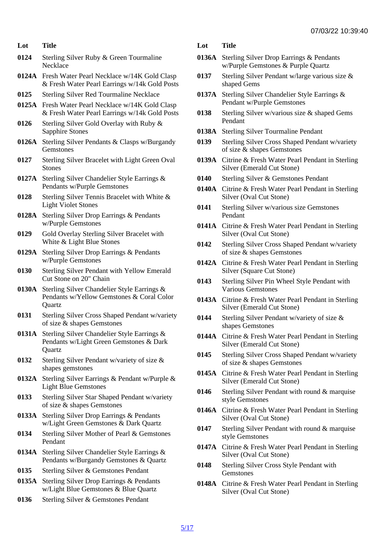- Lot Title
- 0124 Sterling Silver Ruby & Green Tourmaline **Necklace**
- 0124A Fresh Water Pearl Necklace w/14K Gold Clasp & Fresh Water Pearl Earrings w/14k Gold Posts
- 0125 Sterling Silver Red Tourmaline Necklace
- 0125A Fresh Water Pearl Necklace w/14K Gold Clasp & Fresh Water Pearl Earrings w/14k Gold Posts
- 0126 Sterling Silver Gold Overlay with Ruby & Sapphire Stones
- 0126A Sterling Silver Pendants & Clasps w/Burgandy **Gemstones**
- 0127 Sterling Silver Bracelet with Light Green Oval **Stones**
- 0127A Sterling Silver Chandelier Style Earrings & Pendants w/Purple Gemstones
- 0128 Sterling Silver Tennis Bracelet with White & Light Violet Stones
- 0128A Sterling Silver Drop Earrings & Pendants w/Purple Gemstones
- 0129 Gold Overlay Sterling Silver Bracelet with White & Light Blue Stones
- 0129A Sterling Silver Drop Earrings & Pendants w/Purple Gemstones
- 0130 Sterling Silver Pendant with Yellow Emerald Cut Stone on 20" Chain
- 0130A Sterling Silver Chandelier Style Earrings & Pendants w/Yellow Gemstones & Coral Color **Quartz**
- 0131 Sterling Silver Cross Shaped Pendant w/variety of size & shapes Gemstones
- 0131A Sterling Silver Chandelier Style Earrings & Pendants w/Light Green Gemstones & Dark **Quartz**
- 0132 Sterling Silver Pendant w/variety of size & shapes gemstones
- 0132A Sterling Silver Earrings & Pendant w/Purple & Light Blue Gemstones
- 0133 Sterling Silver Star Shaped Pendant w/variety of size & shapes Gemstones
- 0133A Sterling Silver Drop Earrings & Pendants w/Light Green Gemstones & Dark Quartz
- 0134 Sterling Silver Mother of Pearl & Gemstones Pendant
- 0134A Sterling Silver Chandelier Style Earrings & Pendants w/Burgandy Gemstones & Quartz
- 0135 Sterling Silver & Gemstones Pendant
- 0135A Sterling Silver Drop Earrings & Pendants w/Light Blue Gemstones & Blue Quartz
- 0136 Sterling Silver & Gemstones Pendant

- 0136A Sterling Silver Drop Earrings & Pendants w/Purple Gemstones & Purple Quartz
- 0137 Sterling Silver Pendant w/large various size & shaped Gems
- 0137A Sterling Silver Chandelier Style Earrings & Pendant w/Purple Gemstones
- Sterling Silver w/various size & shaped Gems **Pendant**
- 0138A Sterling Silver Tourmaline Pendant
- 0139 Sterling Silver Cross Shaped Pendant w/variety of size & shapes Gemstones
- 0139A Citrine & Fresh Water Pearl Pendant in Sterling Silver (Emerald Cut Stone)
- 0140 Sterling Silver & Gemstones Pendant
- 0140A Citrine & Fresh Water Pearl Pendant in Sterling Silver (Oval Cut Stone)
- 0141 Sterling Silver w/various size Gemstones Pendant
- 0141A Citrine & Fresh Water Pearl Pendant in Sterling Silver (Oval Cut Stone)
- 0142 Sterling Silver Cross Shaped Pendant w/variety of size & shapes Gemstones
- 0142A Citrine & Fresh Water Pearl Pendant in Sterling Silver (Square Cut Stone)
- 0143 Sterling Silver Pin Wheel Style Pendant with Various Gemstones
- 0143A Citrine & Fresh Water Pearl Pendant in Sterling Silver (Emerald Cut Stone)
- 0144 Sterling Silver Pendant w/variety of size & shapes Gemstones
- 0144A Citrine & Fresh Water Pearl Pendant in Sterling Silver (Emerald Cut Stone)
- 0145 Sterling Silver Cross Shaped Pendant w/variety of size & shapes Gemstones
- 0145A Citrine & Fresh Water Pearl Pendant in Sterling Silver (Emerald Cut Stone)
- 0146 Sterling Silver Pendant with round & marquise style Gemstones
- 0146A Citrine & Fresh Water Pearl Pendant in Sterling Silver (Oval Cut Stone)
- 0147 Sterling Silver Pendant with round & marquise style Gemstones
- 0147A Citrine & Fresh Water Pearl Pendant in Sterling Silver (Oval Cut Stone)
- 0148 Sterling Silver Cross Style Pendant with **Gemstones**
- 0148A Citrine & Fresh Water Pearl Pendant in Sterling Silver (Oval Cut Stone)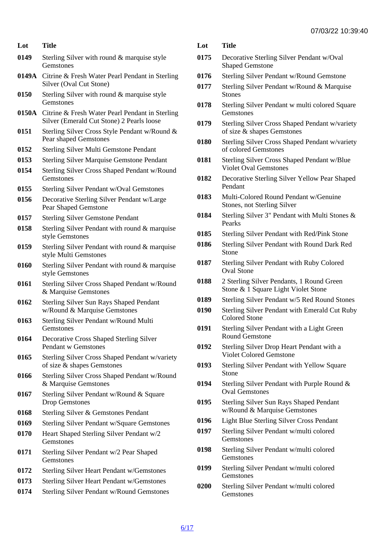- Lot Title 0149 Sterling Silver with round & marquise style **Gemstones** 0149A Citrine & Fresh Water Pearl Pendant in Sterling Silver (Oval Cut Stone) 0150 Sterling Silver with round & marquise style **Gemstones** 0150A Citrine & Fresh Water Pearl Pendant in Sterling Silver (Emerald Cut Stone) 2 Pearls loose 0151 Sterling Silver Cross Style Pendant w/Round & Pear shaped Gemstones 0152 Sterling Silver Multi Gemstone Pendant 0153 Sterling Silver Marquise Gemstone Pendant 0154 Sterling Silver Cross Shaped Pendant w/Round **Gemstones** 0155 Sterling Silver Pendant w/Oval Gemstones 0156 Decorative Sterling Silver Pendant w/Large Pear Shaped Gemstone 0157 Sterling Silver Gemstone Pendant 0158 Sterling Silver Pendant with round & marquise style Gemstones 0159 Sterling Silver Pendant with round & marquise style Multi Gemstones 0160 Sterling Silver Pendant with round & marquise style Gemstones 0161 Sterling Silver Cross Shaped Pendant w/Round & Marquise Gemstones 0162 Sterling Silver Sun Rays Shaped Pendant w/Round & Marquise Gemstones 0163 Sterling Silver Pendant w/Round Multi **Gemstones** 0164 Decorative Cross Shaped Sterling Silver Pendant w Gemstones 0165 Sterling Silver Cross Shaped Pendant w/variety of size & shapes Gemstones 0166 Sterling Silver Cross Shaped Pendant w/Round & Marquise Gemstones 0167 Sterling Silver Pendant w/Round & Square Drop Gemstones 0168 Sterling Silver & Gemstones Pendant 0169 Sterling Silver Pendant w/Square Gemstones 0170 Heart Shaped Sterling Silver Pendant w/2 Gemstones 0171 Sterling Silver Pendant w/2 Pear Shaped **Gemstones** 0172 Sterling Silver Heart Pendant w/Gemstones 0173 Sterling Silver Heart Pendant w/Gemstones Lot Title
- 0174 Sterling Silver Pendant w/Round Gemstones

- 0175 Decorative Sterling Silver Pendant w/Oval Shaped Gemstone
- 0176 Sterling Silver Pendant w/Round Gemstone
- 0177 Sterling Silver Pendant w/Round & Marquise **Stones**
- 0178 Sterling Silver Pendant w multi colored Square **Gemstones**
- 0179 Sterling Silver Cross Shaped Pendant w/variety of size & shapes Gemstones
- 0180 Sterling Silver Cross Shaped Pendant w/variety of colored Gemstones
- 0181 Sterling Silver Cross Shaped Pendant w/Blue Violet Oval Gemstones
- 0182 Decorative Sterling Silver Yellow Pear Shaped **Pendant**
- 0183 Multi-Colored Round Pendant w/Genuine Stones, not Sterling Silver
- 0184 Sterling Silver 3" Pendant with Multi Stones & Pearks
- 0185 Sterling Silver Pendant with Red/Pink Stone
- 0186 Sterling Silver Pendant with Round Dark Red **Stone**
- 0187 Sterling Silver Pendant with Ruby Colored Oval Stone
- 0188 2 Sterling Silver Pendants, 1 Round Green Stone & 1 Square Light Violet Stone
- 0189 Sterling Silver Pendant w/5 Red Round Stones
- 0190 Sterling Silver Pendant with Emerald Cut Ruby Colored Stone
- 0191 Sterling Silver Pendant with a Light Green Round Gemstone
- 0192 Sterling Silver Drop Heart Pendant with a Violet Colored Gemstone
- 0193 Sterling Silver Pendant with Yellow Square Stone
- 0194 Sterling Silver Pendant with Purple Round & Oval Gemstones
- 0195 Sterling Silver Sun Rays Shaped Pendant w/Round & Marquise Gemstones
- 0196 Light Blue Sterling Silver Cross Pendant
- 0197 Sterling Silver Pendant w/multi colored Gemstones
- 0198 Sterling Silver Pendant w/multi colored **Gemstones**
- 0199 Sterling Silver Pendant w/multi colored **Gemstones**
- 0200 Sterling Silver Pendant w/multi colored **Gemstones**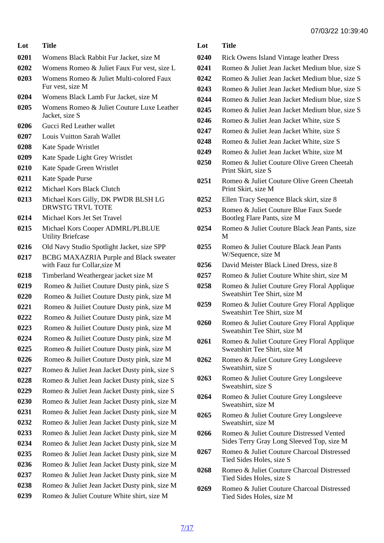- Lot Title Womens Black Rabbit Fur Jacket, size M Womens Romeo & Juliet Faux Fur vest, size L
- Womens Romeo & Juliet Multi-colored Faux Fur vest, size M
- Womens Black Lamb Fur Jacket, size M
- Womens Romeo & Juliet Couture Luxe Leather Jacket, size S
- Gucci Red Leather wallet
- Louis Vuitton Sarah Wallet
- Kate Spade Wristlet
- Kate Spade Light Grey Wristlet
- Kate Spade Green Wristlet
- Kate Spade Purse
- Michael Kors Black Clutch
- Michael Kors Gilly, DK PWDR BLSH LG DRWSTG TRVL TOTE
- Michael Kors Jet Set Travel
- Michael Kors Cooper ADMRL/PLBLUE Utility Briefcase
- Old Navy Studio Spotlight Jacket, size SPP
- BCBG MAXAZRIA Purple and Black sweater with Fauz fur Collar,size M
- Timberland Weathergear jacket size M
- 0219 Romeo & Juiliet Couture Dusty pink, size S
- 0220 Romeo & Juiliet Couture Dusty pink, size M
- 0221 Romeo & Juiliet Couture Dusty pink, size M
- 0222 Romeo & Juiliet Couture Dusty pink, size M
- 0223 Romeo & Juiliet Couture Dusty pink, size M
- 0224 Romeo & Juiliet Couture Dusty pink, size M
- 0225 Romeo & Juiliet Couture Dusty pink, size M
- 0226 Romeo & Juiliet Couture Dusty pink, size M
- Romeo & Juliet Jean Jacket Dusty pink, size S
- Romeo & Juliet Jean Jacket Dusty pink, size S
- Romeo & Juliet Jean Jacket Dusty pink, size S
- Romeo & Juliet Jean Jacket Dusty pink, size M
- Romeo & Juliet Jean Jacket Dusty pink, size M
- Romeo & Juliet Jean Jacket Dusty pink, size M
- Romeo & Juliet Jean Jacket Dusty pink, size M
- Romeo & Juliet Jean Jacket Dusty pink, size M
- Romeo & Juliet Jean Jacket Dusty pink, size M
- Romeo & Juliet Jean Jacket Dusty pink, size M
- Romeo & Juliet Jean Jacket Dusty pink, size M
- Romeo & Juliet Jean Jacket Dusty pink, size M
- Romeo & Juliet Couture White shirt, size M

- Rick Owens Island Vintage leather Dress
- Romeo & Juliet Jean Jacket Medium blue, size S
- Romeo & Juliet Jean Jacket Medium blue, size S
- Romeo & Juliet Jean Jacket Medium blue, size S
- Romeo & Juliet Jean Jacket Medium blue, size S
- Romeo & Juliet Jean Jacket Medium blue, size S
- Romeo & Juliet Jean Jacket White, size S
- Romeo & Juliet Jean Jacket White, size S
- Romeo & Juliet Jean Jacket White, size S
- Romeo & Juliet Jean Jacket White, size M
- Romeo & Juliet Couture Olive Green Cheetah Print Skirt, size S
- Romeo & Juliet Couture Olive Green Cheetah Print Skirt, size M
- Ellen Tracy Sequence Black skirt, size 8
- Romeo & Juliet Couture Blue Faux Suede Bootleg Flare Pants, size M
- Romeo & Juliet Couture Black Jean Pants, size M
- Romeo & Juliet Couture Black Jean Pants W/Sequence, size M
- David Meister Black Lined Dress, size 8
- Romeo & Juliet Couture White shirt, size M
- Romeo & Juliet Couture Grey Floral Applique Sweatshirt Tee Shirt, size M
- Romeo & Juliet Couture Grey Floral Applique Sweatshirt Tee Shirt, size M
- Romeo & Juliet Couture Grey Floral Applique Sweatshirt Tee Shirt, size M
- Romeo & Juliet Couture Grey Floral Applique Sweatshirt Tee Shirt, size M
- Romeo & Juliet Couture Grey Longsleeve Sweatshirt, size S
- Romeo & Juliet Couture Grey Longsleeve Sweatshirt, size S
- Romeo & Juliet Couture Grey Longsleeve Sweatshirt, size M
- Romeo & Juliet Couture Grey Longsleeve Sweatshirt, size M
- Romeo & Juliet Couture Distressed Vented Sides Terry Gray Long Sleeved Top, size M
- Romeo & Juliet Couture Charcoal Distressed Tied Sides Holes, size S
- Romeo & Juliet Couture Charcoal Distressed Tied Sides Holes, size S
- Romeo & Juliet Couture Charcoal Distressed Tied Sides Holes, size M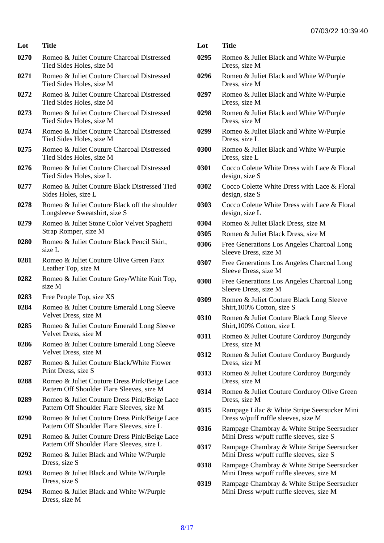| Lot  | <b>Title</b>                                                           |
|------|------------------------------------------------------------------------|
| 0270 | Romeo & Juliet Couture Charcoal Distressed<br>Tied Sides Holes, size M |
| 0271 | Romeo & Juliet Couture Charcoal Distressed                             |

- Tied Sides Holes, size M 0272 Romeo & Juliet Couture Charcoal Distressed
- Tied Sides Holes, size M 0273 Romeo & Juliet Couture Charcoal Distressed
- Tied Sides Holes, size M
- 0274 Romeo & Juliet Couture Charcoal Distressed Tied Sides Holes, size M
- 0275 Romeo & Juliet Couture Charcoal Distressed Tied Sides Holes, size M
- 0276 Romeo & Juliet Couture Charcoal Distressed Tied Sides Holes, size L
- 0277 Romeo & Juliet Couture Black Distressed Tied Sides Holes, size L
- 0278 Romeo & Juliet Couture Black off the shoulder Longsleeve Sweatshirt, size S
- 0279 Romeo & Juliet Stone Color Velvet Spaghetti Strap Romper, size M
- 0280 Romeo & Juliet Couture Black Pencil Skirt, size L
- 0281 Romeo & Juliet Couture Olive Green Faux Leather Top, size M
- 0282 Romeo & Juliet Couture Grey/White Knit Top, size M
- 0283 Free People Top, size XS
- 0284 Romeo & Juliet Couture Emerald Long Sleeve Velvet Dress, size M
- 0285 Romeo & Juliet Couture Emerald Long Sleeve Velvet Dress, size M
- 0286 Romeo & Juliet Couture Emerald Long Sleeve Velvet Dress, size M
- 0287 Romeo & Juliet Couture Black/White Flower Print Dress, size S
- 0288 Romeo & Juliet Couture Dress Pink/Beige Lace Pattern Off Shoulder Flare Sleeves, size M
- 0289 Romeo & Juliet Couture Dress Pink/Beige Lace Pattern Off Shoulder Flare Sleeves, size M
- 0290 Romeo & Juliet Couture Dress Pink/Beige Lace Pattern Off Shoulder Flare Sleeves, size L
- 0291 Romeo & Juliet Couture Dress Pink/Beige Lace Pattern Off Shoulder Flare Sleeves, size L
- 0292 Romeo & Juliet Black and White W/Purple Dress, size S
- 0293 Romeo & Juliet Black and White W/Purple Dress, size S
- 0294 Romeo & Juliet Black and White W/Purple Dress, size M

- 0295 Romeo & Juliet Black and White W/Purple Dress, size M
- 0296 Romeo & Juliet Black and White W/Purple Dress, size M
- 0297 Romeo & Juliet Black and White W/Purple Dress, size M
- 0298 Romeo & Juliet Black and White W/Purple Dress, size M
- 0299 Romeo & Juliet Black and White W/Purple Dress, size L
- 0300 Romeo & Juliet Black and White W/Purple Dress, size L
- 0301 Cocco Colette White Dress with Lace & Floral design, size S
- 0302 Cocco Colette White Dress with Lace & Floral design, size S
- 0303 Cocco Colette White Dress with Lace & Floral design, size L
- 0304 Romeo & Juliet Black Dress, size M
- 0305 Romeo & Juliet Black Dress, size M
- 0306 Free Generations Los Angeles Charcoal Long Sleeve Dress, size M
- 0307 Free Generations Los Angeles Charcoal Long Sleeve Dress, size M
- 0308 Free Generations Los Angeles Charcoal Long Sleeve Dress, size M
- 0309 Romeo & Juliet Couture Black Long Sleeve Shirt,100% Cotton, size S
- 0310 Romeo & Juliet Couture Black Long Sleeve Shirt,100% Cotton, size L
- 0311 Romeo & Juliet Couture Corduroy Burgundy Dress, size M
- 0312 Romeo & Juliet Couture Corduroy Burgundy Dress, size M
- 0313 Romeo & Juliet Couture Corduroy Burgundy Dress, size M
- 0314 Romeo & Juliet Couture Corduroy Olive Green Dress, size M
- 0315 Rampage Lilac & White Stripe Seersucker Mini Dress w/puff ruffle sleeves, size M
- 0316 Rampage Chambray & White Stripe Seersucker Mini Dress w/puff ruffle sleeves, size S
- 0317 Rampage Chambray & White Stripe Seersucker Mini Dress w/puff ruffle sleeves, size S
- 0318 Rampage Chambray & White Stripe Seersucker Mini Dress w/puff ruffle sleeves, size M
- 0319 Rampage Chambray & White Stripe Seersucker Mini Dress w/puff ruffle sleeves, size M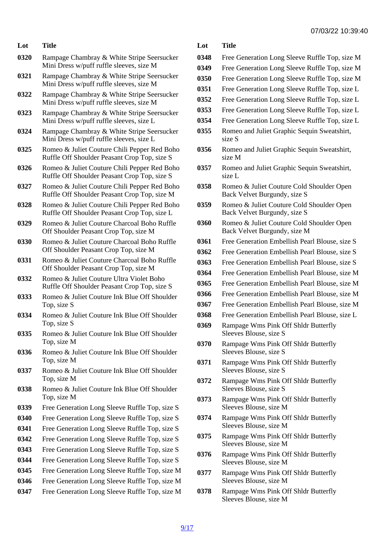| <del>01100122 10.00.10</del> |  |
|------------------------------|--|

| Lot  | <b>Title</b>                                                                                 | Lot  | <b>Title</b>                                                              |
|------|----------------------------------------------------------------------------------------------|------|---------------------------------------------------------------------------|
| 0320 | Rampage Chambray & White Stripe Seersucker                                                   | 0348 | Free Generation Long Sleeve Ruffle Top, size M                            |
|      | Mini Dress w/puff ruffle sleeves, size M                                                     | 0349 | Free Generation Long Sleeve Ruffle Top, size M                            |
| 0321 | Rampage Chambray & White Stripe Seersucker<br>Mini Dress w/puff ruffle sleeves, size M       | 0350 | Free Generation Long Sleeve Ruffle Top, size M                            |
| 0322 | Rampage Chambray & White Stripe Seersucker                                                   | 0351 | Free Generation Long Sleeve Ruffle Top, size L                            |
|      | Mini Dress w/puff ruffle sleeves, size M                                                     | 0352 | Free Generation Long Sleeve Ruffle Top, size L                            |
| 0323 | Rampage Chambray & White Stripe Seersucker                                                   | 0353 | Free Generation Long Sleeve Ruffle Top, size L                            |
|      | Mini Dress w/puff ruffle sleeves, size L                                                     | 0354 | Free Generation Long Sleeve Ruffle Top, size L                            |
| 0324 | Rampage Chambray & White Stripe Seersucker 0355<br>Mini Dress w/puff ruffle sleeves, size L  |      | Romeo and Juliet Graphic Sequin Sweatshirt,<br>size S                     |
| 0325 | Romeo & Juliet Couture Chili Pepper Red Boho<br>Ruffle Off Shoulder Peasant Crop Top, size S | 0356 | Romeo and Juliet Graphic Sequin Sweatshirt,<br>size M                     |
| 0326 | Romeo & Juliet Couture Chili Pepper Red Boho<br>Ruffle Off Shoulder Peasant Crop Top, size S | 0357 | Romeo and Juliet Graphic Sequin Sweatshirt,<br>size L                     |
| 0327 | Romeo & Juliet Couture Chili Pepper Red Boho<br>Ruffle Off Shoulder Peasant Crop Top, size M | 0358 | Romeo & Juliet Couture Cold Shoulder Open<br>Back Velvet Burgundy, size S |
| 0328 | Romeo & Juliet Couture Chili Pepper Red Boho<br>Ruffle Off Shoulder Peasant Crop Top, size L | 0359 | Romeo & Juliet Couture Cold Shoulder Open<br>Back Velvet Burgundy, size S |
| 0329 | Romeo & Juliet Couture Charcoal Boho Ruffle<br>Off Shoulder Peasant Crop Top, size M         | 0360 | Romeo & Juliet Couture Cold Shoulder Open<br>Back Velvet Burgundy, size M |
| 0330 | Romeo & Juliet Couture Charcoal Boho Ruffle                                                  | 0361 | Free Generation Embellish Pearl Blouse, size S                            |
|      | Off Shoulder Peasant Crop Top, size M                                                        | 0362 | Free Generation Embellish Pearl Blouse, size S                            |
| 0331 | Romeo & Juliet Couture Charcoal Boho Ruffle<br>Off Shoulder Peasant Crop Top, size M         | 0363 | Free Generation Embellish Pearl Blouse, size S                            |
| 0332 | Romeo & Juliet Couture Ultra Violet Boho                                                     | 0364 | Free Generation Embellish Pearl Blouse, size M                            |
|      | Ruffle Off Shoulder Peasant Crop Top, size S                                                 | 0365 | Free Generation Embellish Pearl Blouse, size M                            |
| 0333 | Romeo & Juliet Couture Ink Blue Off Shoulder                                                 | 0366 | Free Generation Embellish Pearl Blouse, size M                            |
|      | Top, size S                                                                                  | 0367 | Free Generation Embellish Pearl Blouse, size M                            |
| 0334 | Romeo & Juliet Couture Ink Blue Off Shoulder<br>Top, size S                                  | 0368 | Free Generation Embellish Pearl Blouse, size L                            |
| 0335 | Romeo & Juliet Couture Ink Blue Off Shoulder<br>Top, size M                                  | 0369 | Rampage Wms Pink Off Shldr Butterfly<br>Sleeves Blouse, size S            |
| 0336 | Romeo & Juliet Couture Ink Blue Off Shoulder                                                 | 0370 | Rampage Wms Pink Off Shldr Butterfly<br>Sleeves Blouse, size S            |
|      | Top, size M                                                                                  | 0371 | Rampage Wms Pink Off Shidr Butterfly                                      |
| 0337 | Romeo & Juliet Couture Ink Blue Off Shoulder                                                 |      | Sleeves Blouse, size S                                                    |
| 0338 | Top, size M<br>Romeo & Juliet Couture Ink Blue Off Shoulder                                  | 0372 | Rampage Wms Pink Off Shidr Butterfly<br>Sleeves Blouse, size S            |
|      | Top, size M                                                                                  | 0373 | Rampage Wms Pink Off Shldr Butterfly                                      |
| 0339 | Free Generation Long Sleeve Ruffle Top, size S                                               |      | Sleeves Blouse, size M                                                    |
| 0340 | Free Generation Long Sleeve Ruffle Top, size S 0374                                          |      | Rampage Wms Pink Off Shldr Butterfly                                      |
| 0341 | Free Generation Long Sleeve Ruffle Top, size S                                               |      | Sleeves Blouse, size M<br>Rampage Wms Pink Off Shldr Butterfly            |
| 0342 | Free Generation Long Sleeve Ruffle Top, size S                                               | 0375 | Sleeves Blouse, size M                                                    |
| 0343 | Free Generation Long Sleeve Ruffle Top, size S                                               | 0376 | Rampage Wms Pink Off Shidr Butterfly                                      |
| 0344 | Free Generation Long Sleeve Ruffle Top, size S                                               |      | Sleeves Blouse, size M                                                    |
| 0345 | Free Generation Long Sleeve Ruffle Top, size M 0377                                          |      | Rampage Wms Pink Off Shidr Butterfly                                      |
| 0346 | Free Generation Long Sleeve Ruffle Top, size M                                               |      | Sleeves Blouse, size M                                                    |
| 0347 | Free Generation Long Sleeve Ruffle Top, size M 0378                                          |      | Rampage Wms Pink Off Shldr Butterfly<br>Sleeves Blouse, size M            |
|      |                                                                                              |      |                                                                           |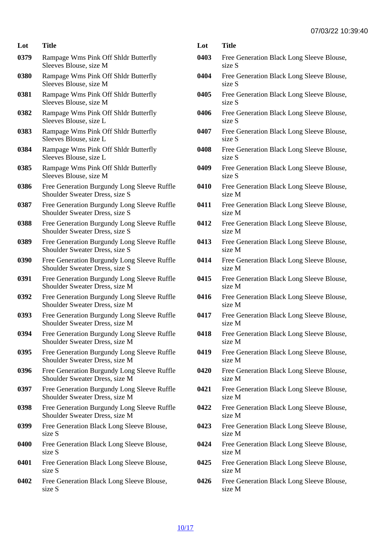| Lot  | Title                                                                                | L) |
|------|--------------------------------------------------------------------------------------|----|
| 0379 | Rampage Wms Pink Off Shldr Butterfly<br>Sleeves Blouse, size M                       | 0  |
| 0380 | Rampage Wms Pink Off Shldr Butterfly<br>Sleeves Blouse, size M                       | 0  |
| 0381 | Rampage Wms Pink Off Shldr Butterfly<br>Sleeves Blouse, size M                       | 0  |
| 0382 | Rampage Wms Pink Off Shldr Butterfly<br>Sleeves Blouse, size L                       | 0  |
| 0383 | Rampage Wms Pink Off Shldr Butterfly<br>Sleeves Blouse, size L                       | 0  |
| 0384 | Rampage Wms Pink Off Shldr Butterfly<br>Sleeves Blouse, size L                       | 0  |
| 0385 | Rampage Wms Pink Off Shldr Butterfly<br>Sleeves Blouse, size M                       | 0  |
| 0386 | Free Generation Burgundy Long Sleeve Ruffle<br>Shoulder Sweater Dress, size S        | 0  |
| 0387 | Free Generation Burgundy Long Sleeve Ruffle<br>Shoulder Sweater Dress, size S        | 0  |
| 0388 | <b>Free Generation Burgundy Long Sleeve Ruffle</b><br>Shoulder Sweater Dress, size S | 0  |
| 0389 | Free Generation Burgundy Long Sleeve Ruffle<br>Shoulder Sweater Dress, size S        | 0  |
| 0390 | Free Generation Burgundy Long Sleeve Ruffle<br><b>Shoulder Sweater Dress, size S</b> | 0  |
| 0391 | Free Generation Burgundy Long Sleeve Ruffle<br>Shoulder Sweater Dress, size M        | 0  |
| 0392 | Free Generation Burgundy Long Sleeve Ruffle<br>Shoulder Sweater Dress, size M        | 0  |
| 0393 | Free Generation Burgundy Long Sleeve Ruffle<br>Shoulder Sweater Dress, size M        | 0  |
| 0394 | Free Generation Burgundy Long Sleeve Ruffle<br>Shoulder Sweater Dress, size M        | 0  |
| 0395 | Free Generation Burgundy Long Sleeve Ruffle<br><b>Shoulder Sweater Dress, size M</b> | 0  |
| 0396 | Free Generation Burgundy Long Sleeve Ruffle<br>Shoulder Sweater Dress, size M        | 0  |
| 0397 | Free Generation Burgundy Long Sleeve Ruffle<br>Shoulder Sweater Dress, size M        | 0  |
| 0398 | Free Generation Burgundy Long Sleeve Ruffle<br><b>Shoulder Sweater Dress, size M</b> | 0  |
| 0399 | Free Generation Black Long Sleeve Blouse,<br>size S                                  | 0  |
| 0400 | Free Generation Black Long Sleeve Blouse,<br>size S                                  | 0  |
| 0401 | Free Generation Black Long Sleeve Blouse,<br>size S                                  | 0  |
| 0402 | Free Generation Black Long Sleeve Blouse,<br>size S                                  | 0  |

- 0403 Free Generation Black Long Sleeve Blouse, size S
- 404 Free Generation Black Long Sleeve Blouse, size S
- 0405 Free Generation Black Long Sleeve Blouse, size S
- 406 Free Generation Black Long Sleeve Blouse, size S
- 407 Free Generation Black Long Sleeve Blouse, size S
- 0408 Free Generation Black Long Sleeve Blouse, size S
- 0409 Free Generation Black Long Sleeve Blouse, size S
- 410 Free Generation Black Long Sleeve Blouse, size M
- 411 Free Generation Black Long Sleeve Blouse, size M
- 412 Free Generation Black Long Sleeve Blouse, size M
- 413 Free Generation Black Long Sleeve Blouse, size M
- 414 Free Generation Black Long Sleeve Blouse, size M
- 415 Free Generation Black Long Sleeve Blouse, size M
- 416 Free Generation Black Long Sleeve Blouse, size M
- 417 Free Generation Black Long Sleeve Blouse, size M
- 418 Free Generation Black Long Sleeve Blouse, size M
- 419 Free Generation Black Long Sleeve Blouse, size M
- 420 Free Generation Black Long Sleeve Blouse, size M
- 421 Free Generation Black Long Sleeve Blouse, size M
- 422 Free Generation Black Long Sleeve Blouse, size M
- 423 Free Generation Black Long Sleeve Blouse, size M
- 424 Free Generation Black Long Sleeve Blouse, size M
- 425 Free Generation Black Long Sleeve Blouse, size M
- 426 Free Generation Black Long Sleeve Blouse, size M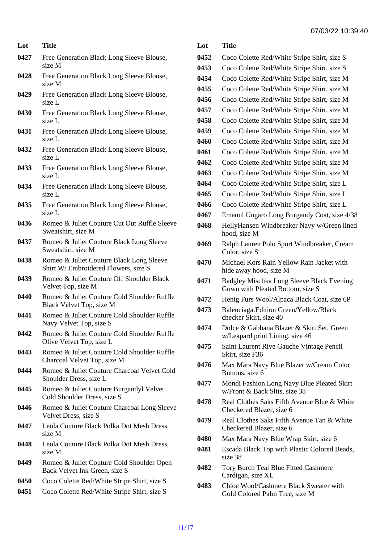- Lot Title
- 0427 Free Generation Black Long Sleeve Blouse, size M
- 0428 Free Generation Black Long Sleeve Blouse, size M
- 0429 Free Generation Black Long Sleeve Blouse, size L
- 0430 Free Generation Black Long Sleeve Blouse, size L
- 0431 Free Generation Black Long Sleeve Blouse, size L
- 0432 Free Generation Black Long Sleeve Blouse, size L
- 0433 Free Generation Black Long Sleeve Blouse, size L
- 0434 Free Generation Black Long Sleeve Blouse, size L
- 0435 Free Generation Black Long Sleeve Blouse, size L
- 0436 Romeo & Juliet Couture Cut Out Ruffle Sleeve Sweatshirt, size M
- 0437 Romeo & Juliet Couture Black Long Sleeve Sweatshirt, size M
- 0438 Romeo & Juliet Couture Black Long Sleeve Shirt W/ Embroidered Flowers, size S
- 0439 Romeo & Juliet Couture Off Shoulder Black Velvet Top, size M
- 0440 Romeo & Juliet Couture Cold Shoulder Ruffle Black Velvet Top, size M
- 0441 Romeo & Juliet Couture Cold Shoulder Ruffle Navy Velvet Top, size S
- 0442 Romeo & Juliet Couture Cold Shoulder Ruffle Olive Velvet Top, size L
- 0443 Romeo & Juliet Couture Cold Shoulder Ruffle Charcoal Velvet Top, size M
- 0444 Romeo & Juliet Couture Charcoal Velvet Cold Shoulder Dress, size L
- 0445 Romeo & Juliet Couture Burgandyl Velvet Cold Shoulder Dress, size S
- 0446 Romeo & Juliet Couture Charcoal Long Sleeve Velvet Dress, size S
- 0447 Leola Couture Black Polka Dot Mesh Dress, size M
- 0448 Leola Couture Black Polka Dot Mesh Dress, size M
- 0449 Romeo & Juliet Couture Cold Shoulder Open Back Velvet Ink Green, size S
- 0450 Coco Colette Red/White Stripe Shirt, size S
- 0451 Coco Colette Red/White Stripe Shirt, size S

| Lot  | Title                                                                         |
|------|-------------------------------------------------------------------------------|
| 0452 | Coco Colette Red/White Stripe Shirt, size S                                   |
| 0453 | Coco Colette Red/White Stripe Shirt, size S                                   |
| 0454 | Coco Colette Red/White Stripe Shirt, size M                                   |
| 0455 | Coco Colette Red/White Stripe Shirt, size M                                   |
| 0456 | Coco Colette Red/White Stripe Shirt, size M                                   |
| 0457 | Coco Colette Red/White Stripe Shirt, size M                                   |
| 0458 | Coco Colette Red/White Stripe Shirt, size M                                   |
| 0459 | Coco Colette Red/White Stripe Shirt, size M                                   |
| 0460 | Coco Colette Red/White Stripe Shirt, size M                                   |
| 0461 | Coco Colette Red/White Stripe Shirt, size M                                   |
| 0462 | Coco Colette Red/White Stripe Shirt, size M                                   |
| 0463 | Coco Colette Red/White Stripe Shirt, size M                                   |
| 0464 | Coco Colette Red/White Stripe Shirt, size L                                   |
| 0465 | Coco Colette Red/White Stripe Shirt, size L                                   |
| 0466 | Coco Colette Red/White Stripe Shirt, size L                                   |
| 0467 | Emanul Ungaro Long Burgandy Coat, size 4/38                                   |
| 0468 | HellyHansen Windbreaker Navy w/Green lined<br>hood, size M                    |
| 0469 | Ralph Lauren Polo Sport Windbreaker, Cream<br>Color, size S                   |
| 0470 | Michael Kors Rain Yellow Rain Jacket with<br>hide away hood, size M           |
| 0471 | Badgley Mischka Long Sleeve Black Evening<br>Gown with Pleated Bottom, size S |
| 0472 | Henig Furs Wool/Alpaca Black Coat, size 6P                                    |
| 0473 | Balenciaga. Edition Green/Yellow/Black<br>checker Skirt, size 40              |
| 0474 | Dolce & Gabbana Blazer & Skirt Set, Green<br>w/Leapard print Lining, size 46  |
| 0475 | Saint Laurent Rive Gauche Vintage Pencil<br>Skirt, size F36                   |
| 0476 | Max Mara Navy Blue Blazer w/Cream Color<br>Buttons, size 6                    |
| 0477 | Mondi Fashion Long Navy Blue Pleated Skirt<br>w/Front & Back Slits, size 38   |
| 0478 | Real Clothes Saks Fifth Avenue Blue & White<br>Checkered Blazer, size 6       |
| 0479 | Real Clothes Saks Fifth Avenue Tan & White<br>Checkered Blazer, size 6        |
| 0480 | Max Mara Navy Blue Wrap Skirt, size 6                                         |
| 0481 | Escada Black Top with Plastic Colored Beads,<br>size 38                       |
| 0482 | Tory Burch Teal Blue Fitted Cashmere<br>Cardigan, size XL                     |
|      |                                                                               |

0483 Chloe Wool/Cashmere Black Sweater with Gold Colored Palm Tree, size M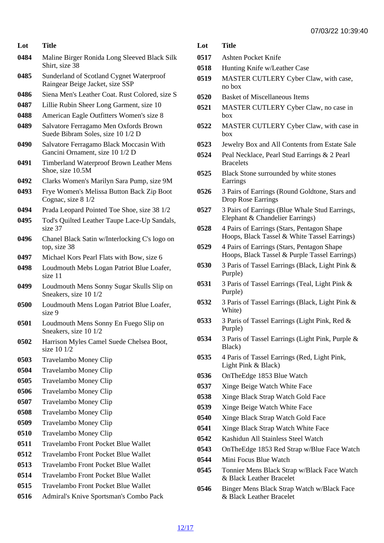| Lot  | Title                                                                       | Lot            |
|------|-----------------------------------------------------------------------------|----------------|
| 0484 | Maline Birger Ronida Long Sleeved Black Silk<br>Shirt, size 38              | 051<br>051     |
| 0485 | Sunderland of Scotland Cygnet Waterproof<br>Raingear Beige Jacket, size SSP | 051            |
| 0486 | Siena Men's Leather Coat. Rust Colored, size S                              | 052            |
| 0487 | Lillie Rubin Sheer Long Garment, size 10                                    | 052            |
| 0488 | American Eagle Outfitters Women's size 8                                    |                |
| 0489 | Salvatore Ferragamo Men Oxfords Brown<br>Suede Bibram Soles, size 10 1/2 D  | 052            |
| 0490 | Salvatore Ferragamo Black Moccasin With<br>Gancini Ornament, size 10 1/2 D  | 052<br>$052 -$ |
| 0491 | <b>Timberland Waterproof Brown Leather Mens</b><br>Shoe, size 10.5M         | 052            |
| 0492 | Clarks Women's Marilyn Sara Pump, size 9M                                   |                |
| 0493 | Frye Women's Melissa Button Back Zip Boot<br>Cognac, size 8 1/2             | 052(           |
| 0494 | Prada Leopard Pointed Toe Shoe, size 38 1/2                                 | 052            |
| 0495 | Tod's Quilted Leather Taupe Lace-Up Sandals,<br>size 37                     | 052            |
| 0496 | Chanel Black Satin w/Interlocking C's logo on<br>top, size 38               | 052            |
| 0497 | Michael Kors Pearl Flats with Bow, size 6                                   |                |
| 0498 | Loudmouth Mebs Logan Patriot Blue Loafer,<br>size 11                        | 053            |
| 0499 | Loudmouth Mens Sonny Sugar Skulls Slip on<br>Sneakers, size 10 1/2          | 053            |
| 0500 | Loudmouth Mens Logan Patriot Blue Loafer,<br>size 9                         | 053            |
| 0501 | Loudmouth Mens Sonny En Fuego Slip on<br>Sneakers, size 10 1/2              | 053            |
| 0502 | Harrison Myles Camel Suede Chelsea Boot,<br>size 10 1/2                     | 053            |
| 0503 | <b>Travelambo Money Clip</b>                                                | 053            |
| 0504 | <b>Travelambo Money Clip</b>                                                | 053            |
| 0505 | <b>Travelambo Money Clip</b>                                                | 053            |
| 0506 | <b>Travelambo Money Clip</b>                                                | 053            |
| 0507 | <b>Travelambo Money Clip</b>                                                | 053            |
| 0508 | <b>Travelambo Money Clip</b>                                                | 054            |
| 0509 | <b>Travelambo Money Clip</b>                                                |                |
| 0510 | <b>Travelambo Money Clip</b>                                                | 054            |
| 0511 | <b>Travelambo Front Pocket Blue Wallet</b>                                  | 054<br>054     |
| 0512 | <b>Travelambo Front Pocket Blue Wallet</b>                                  | 054            |
| 0513 | <b>Travelambo Front Pocket Blue Wallet</b>                                  | 054            |
| 0514 | <b>Travelambo Front Pocket Blue Wallet</b>                                  |                |
| 0515 | <b>Travelambo Front Pocket Blue Wallet</b>                                  | 054            |
| 0516 | Admiral's Knive Sportsman's Combo Pack                                      |                |

**Title** 7 Ashten Pocket Knife

- 8 Hunting Knife w/Leather Case
- 9 MASTER CUTLERY Cyber Claw, with case, no box
- 0520 Basket of Miscellaneous Items
- 0521 MASTER CUTLERY Cyber Claw, no case in box
- 2 MASTER CUTLERY Cyber Claw, with case in box
- 3 Jewelry Box and All Contents from Estate Sale
- 4 Peal Necklace, Pearl Stud Earrings & 2 Pearl **Bracelets**
- 5 Black Stone surrounded by white stones Earrings
- 6 3 Pairs of Earrings (Round Goldtone, Stars and Drop Rose Earrings
- 7 3 Pairs of Earrings (Blue Whale Stud Earrings, Elephant & Chandelier Earrings)
- 8 4 Pairs of Earrings (Stars, Pentagon Shape Hoops, Black Tassel & White Tassel Earrings)
- 9 4 Pairs of Earrings (Stars, Pentagon Shape Hoops, Black Tassel & Purple Tassel Earrings)
- 0 3 Paris of Tassel Earrings (Black, Light Pink & Purple)
- 1 3 Paris of Tassel Earrings (Teal, Light Pink & Purple)
- 2 3 Paris of Tassel Earrings (Black, Light Pink & White)
- 3 3 Paris of Tassel Earrings (Light Pink, Red & Purple)
- 0534 3 Paris of Tassel Earrings (Light Pink, Purple & Black)
- 5 4 Paris of Tassel Earrings (Red, Light Pink, Light Pink & Black)
- 6 OnTheEdge 1853 Blue Watch
- 7 Xinge Beige Watch White Face
- 8 Xinge Black Strap Watch Gold Face
- 9 Xinge Beige Watch White Face
- 0 Xinge Black Strap Watch Gold Face
- 1 Xinge Black Strap Watch White Face
- 2 Kashidun All Stainless Steel Watch
- 3 OnTheEdge 1853 Red Strap w/Blue Face Watch
- 0544 Mini Focus Blue Watch
- 5 Tonnier Mens Black Strap w/Black Face Watch & Black Leather Bracelet
- 0546 Binger Mens Black Strap Watch w/Black Face & Black Leather Bracelet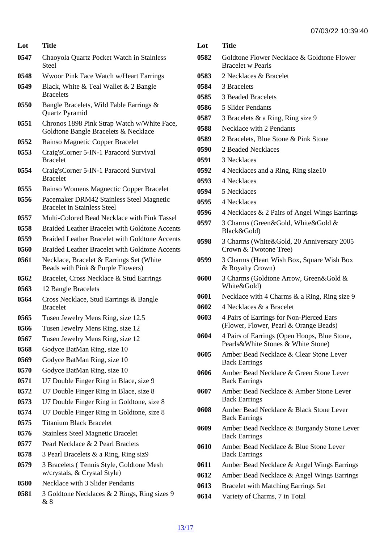| Lot  | Title                                                                               |  |
|------|-------------------------------------------------------------------------------------|--|
| 0547 | Chaoyola Quartz Pocket Watch in Stainless<br>Steel                                  |  |
| 0548 | Wwoor Pink Face Watch w/Heart Earrings                                              |  |
| 0549 | Black, White & Teal Wallet & 2 Bangle<br><b>Bracelets</b>                           |  |
| 0550 | Bangle Bracelets, Wild Fable Earrings &<br><b>Quartz Pyramid</b>                    |  |
| 0551 | Chronos 1898 Pink Strap Watch w/White Face,<br>Goldtone Bangle Bracelets & Necklace |  |
| 0552 | Rainso Magnetic Copper Bracelet                                                     |  |
| 0553 | Craig's Corner 5-IN-1 Paracord Survival<br><b>Bracelet</b>                          |  |
| 0554 | Craig's Corner 5-IN-1 Paracord Survival<br><b>Bracelet</b>                          |  |
| 0555 | Rainso Womens Magnectic Copper Bracelet                                             |  |
| 0556 | Pacemaker DRM42 Stainless Steel Magnetic<br><b>Bracelet in Stainless Steel</b>      |  |
| 0557 | Multi-Colored Bead Necklace with Pink Tassel                                        |  |
| 0558 | <b>Braided Leather Bracelet with Goldtone Accents</b>                               |  |
| 0559 | <b>Braided Leather Bracelet with Goldtone Accents</b>                               |  |
| 0560 | <b>Braided Leather Bracelet with Goldtone Accents</b>                               |  |
| 0561 | Necklace, Bracelet & Earrings Set (White<br>Beads with Pink & Purple Flowers)       |  |
| 0562 | Bracelet, Cross Necklace & Stud Earrings                                            |  |
| 0563 | 12 Bangle Bracelets                                                                 |  |
| 0564 | Cross Necklace, Stud Earrings & Bangle<br><b>Bracelet</b>                           |  |
| 0565 | Tusen Jewelry Mens Ring, size 12.5                                                  |  |
| 0566 | Tusen Jewelry Mens Ring, size 12                                                    |  |
| 0567 | Tusen Jewelry Mens Ring, size 12                                                    |  |
| 0568 | Godyce BatMan Ring, size 10                                                         |  |
| 0569 | Godyce BatMan Ring, size 10                                                         |  |
| 0570 | Godyce BatMan Ring, size 10                                                         |  |
| 0571 | U7 Double Finger Ring in Blace, size 9                                              |  |
| 0572 | U7 Double Finger Ring in Blace, size 8                                              |  |
| 0573 | U7 Double Finger Ring in Goldtone, size 8                                           |  |
| 0574 | U7 Double Finger Ring in Goldtone, size 8                                           |  |
| 0575 | <b>Titanium Black Bracelet</b>                                                      |  |
| 0576 | <b>Stainless Steel Magnetic Bracelet</b>                                            |  |
| 0577 | Pearl Necklace & 2 Pearl Braclets                                                   |  |
| 0578 | 3 Pearl Bracelets & a Ring, Ring siz9                                               |  |
| 0579 | 3 Bracelets (Tennis Style, Goldtone Mesh<br>w/crystals, & Crystal Style)            |  |
| 0580 | Necklace with 3 Slider Pendants                                                     |  |
| 0581 | 3 Goldtone Necklaces & 2 Rings, Ring sizes 9<br>& 8                                 |  |

- Goldtone Flower Necklace & Goldtone Flower Bracelet w Pearls
- 2 Necklaces & Bracelet
- 3 Bracelets
- 3 Beaded Bracelets
- 5 Slider Pendants
- 0587 3 Bracelets & a Ring, Ring size 9
- Necklace with 2 Pendants
- 2 Bracelets, Blue Stone & Pink Stone
- 2 Beaded Necklaces
- 3 Necklaces
- 0592 4 Necklaces and a Ring, Ring size10
- 4 Necklaces
- 5 Necklaces
- 4 Necklaces
- 4 Necklaces & 2 Pairs of Angel Wings Earrings
- 3 Charms (Green&Gold, White&Gold & Black&Gold)
- 3 Charms (White&Gold, 20 Anniversary 2005 Crown & Twotone Tree)
- 3 Charms (Heart Wish Box, Square Wish Box & Royalty Crown)
- 3 Charms (Goldtone Arrow, Green&Gold & White&Gold)
- Necklace with 4 Charms & a Ring, Ring size 9
- 4 Necklaces & a Bracelet
- 4 Pairs of Earrings for Non-Pierced Ears (Flower, Flower, Pearl & Orange Beads)
- 4 Pairs of Earrings (Open Hoops, Blue Stone, Pearls&White Stones & White Stone)
- Amber Bead Necklace & Clear Stone Lever Back Earrings
- Amber Bead Necklace & Green Stone Lever Back Earrings
- Amber Bead Necklace & Amber Stone Lever Back Earrings
- Amber Bead Necklace & Black Stone Lever Back Earrings
- Amber Bead Necklace & Burgandy Stone Lever Back Earrings
- Amber Bead Necklace & Blue Stone Lever Back Earrings
- Amber Bead Necklace & Angel Wings Earrings
- Amber Bead Necklace & Angel Wings Earrings
- 0613 Bracelet with Matching Earrings Set
- Variety of Charms, 7 in Total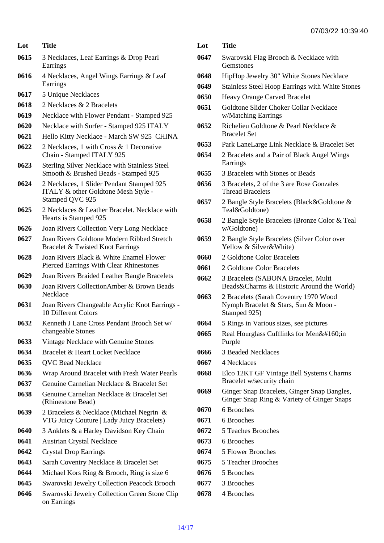- Lot Title
- 3 Necklaces, Leaf Earrings & Drop Pearl Earrings
- 4 Necklaces, Angel Wings Earrings & Leaf Earrings
- 5 Unique Necklaces
- 2 Necklaces & 2 Bracelets
- Necklace with Flower Pendant Stamped 925
- Necklace with Surfer Stamped 925 ITALY
- Hello Kitty Necklace March SW 925 CHINA
- 2 Necklaces, 1 with Cross & 1 Decorative Chain - Stamped ITALY 925
- Sterling Silver Necklace with Stainless Steel Smooth & Brushed Beads - Stamped 925
- 2 Necklaces, 1 Slider Pendant Stamped 925 ITALY & other Goldtone Mesh Style - Stamped QVC 925
- 2 Necklaces & Leather Bracelet. Necklace with Hearts is Stamped 925
- Joan Rivers Collection Very Long Necklace
- Joan Rivers Goldtone Modern Ribbed Stretch Bracelet & Twisted Knot Earrings
- Joan Rivers Black & White Enamel Flower Pierced Earrings With Clear Rhinestones
- Joan Rivers Braided Leather Bangle Bracelets
- Joan Rivers CollectionAmber & Brown Beads **Necklace**
- Joan Rivers Changeable Acrylic Knot Earrings 10 Different Colors
- Kenneth J Lane Cross Pendant Brooch Set w/ changeable Stones
- Vintage Necklace with Genuine Stones
- Bracelet & Heart Locket Necklace
- QVC Bead Necklace
- Wrap Around Bracelet with Fresh Water Pearls
- Genuine Carnelian Necklace & Bracelet Set
- Genuine Carnelian Necklace & Bracelet Set (Rhinestone Bead)
- 2 Bracelets & Necklace (Michael Negrin & VTG Juicy Couture | Lady Juicy Bracelets)
- 3 Anklets & a Harley Davidson Key Chain
- Austrian Crystal Necklace
- Crystal Drop Earrings
- Sarah Coventry Necklace & Bracelet Set
- Michael Kors Ring & Brooch, Ring is size 6
- Swarovski Jewelry Collection Peacock Brooch
- Swarovski Jewelry Collection Green Stone Clip on Earrings
- Lot Title
- Swarovski Flag Brooch & Necklace with **Gemstones**
- HipHop Jewelry 30" White Stones Necklace
- Stainless Steel Hoop Earrings with White Stones
- Heavy Orange Carved Bracelet
- Goldtone Slider Choker Collar Necklace w/Matching Earrings
- Richelieu Goldtone & Pearl Necklace & Bracelet Set
- Park LaneLarge Link Necklace & Bracelet Set
- 2 Bracelets and a Pair of Black Angel Wings Earrings
- 3 Bracelets with Stones or Beads
- 3 Bracelets, 2 of the 3 are Rose Gonzales Thread Bracelets
- 2 Bangle Style Bracelets (Black&Goldtone & Teal&Goldtone)
- 2 Bangle Style Bracelets (Bronze Color & Teal w/Goldtone)
- 2 Bangle Style Bracelets (Silver Color over Yellow & Silver&White)
- 2 Goldtone Color Bracelets
- 2 Goldtone Color Bracelets
- 3 Bracelets (SABONA Bracelet, Multi Beads&Charms & Historic Around the World)
- 2 Bracelets (Sarah Coventry 1970 Wood Nymph Bracelet & Stars, Sun & Moon - Stamped 925)
- 5 Rings in Various sizes, see pictures
- 0665 Real Hourglass Cufflinks for Men in Purple
- 3 Beaded Necklaces
- 4 Necklaces
- Elco 12KT GF Vintage Bell Systems Charms Bracelet w/security chain
- Ginger Snap Bracelets, Ginger Snap Bangles, Ginger Snap Ring & Variety of Ginger Snaps
- 6 Brooches
- 6 Brooches
- 5 Teaches Brooches
- 6 Brooches
- 5 Flower Brooches
- 5 Teacher Brooches
- 5 Brooches
- 3 Brooches
- 4 Brooches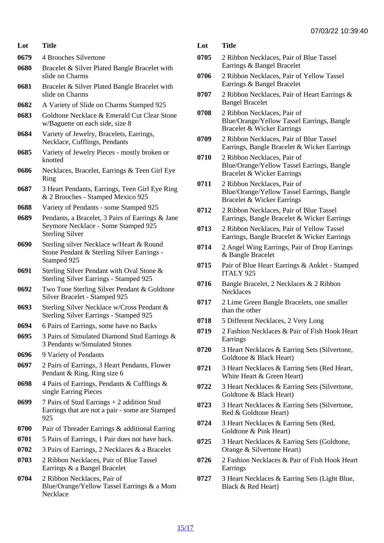- Lot Title 0679 4 Brooches Silvertone
- 0680 Bracelet & Silver Plated Bangle Bracelet with slide on Charms
- 0681 Bracelet & Silver Plated Bangle Bracelet with slide on Charms
- 0682 A Variety of Slide on Charms Stamped 925
- 0683 Goldtone Necklace & Emerald Cut Clear Stone w/Baguette on each side, size 8
- 0684 Variety of Jewelry, Bracelets, Earrings, Necklace, Cufflings, Pendants
- 0685 Variety of Jewelry Pieces mostly broken or knotted
- 0686 Necklaces, Bracelet, Earrings & Teen Girl Eye Ring
- 0687 3 Heart Pendants, Earrings, Teen Girl Eye Ring & 2 Brooches - Stamped Mexico 925
- 0688 Variety of Pendants some Stamped 925
- 0689 Pendants, a Bracelet, 3 Pairs of Earrings & Jane Seymore Necklace - Some Stamped 925 Sterling Silver
- 0690 Sterling silver Necklace w/Heart & Round Stone Pendant & Sterling Silver Earrings - Stamped 925
- 0691 Sterling Silver Pendant with Oval Stone & Sterling Silver Earrings - Stamped 925
- 0692 Two Tone Sterling Silver Pendant & Goldtone Silver Bracelet - Stamped 925
- 0693 Sterling Silver Necklace w/Cross Pendant & Sterling Silver Earrings - Stamped 925
- 0694 6 Pairs of Earrings, some have no Backs
- 0695 3 Pairs of Simulated Diamond Stud Earrings & 3 Pendants w/Simulated Stones
- 0696 9 Variety of Pendants
- 0697 2 Pairs of Earrings, 3 Heart Pendants, Flower Pendant & Ring, Ring size 6
- 0698 4 Pairs of Earrings, Pendants & Cufflings & single Earring Pieces
- 0699 7 Pairs of Stud Earrings + 2 addition Stud Earrings that are not a pair - some are Stamped 925
- 0700 Pair of Threader Earrings & additional Earring
- 0701 5 Pairs of Earrings, 1 Pair does not have back.
- 0702 3 Pairs of Earrings, 2 Necklaces & a Bracelet
- 0703 2 Ribbon Necklaces, Pair of Blue Tassel Earrings & a Bangel Bracelet
- 0704 2 Ribbon Necklaces, Pair of Blue/Orange/Yellow Tassel Earrings & a Mom **Necklace**
- Lot Title
- 0705 2 Ribbon Necklaces, Pair of Blue Tassel Earrings & Bangel Bracelet
- 0706 2 Ribbon Necklaces, Pair of Yellow Tassel Earrings & Bangel Bracelet
- 0707 2 Ribbon Necklaces, Pair of Heart Earrings & Bangel Bracelet
- 0708 2 Ribbon Necklaces, Pair of Blue/Orange/Yellow Tassel Earrings, Bangle Bracelet & Wicker Earrings
- 0709 2 Ribbon Necklaces, Pair of Blue Tassel Earrings, Bangle Bracelet & Wicker Earrings
- 0710 2 Ribbon Necklaces, Pair of Blue/Orange/Yellow Tassel Earrings, Bangle Bracelet & Wicker Earrings
- 0711 2 Ribbon Necklaces, Pair of Blue/Orange/Yellow Tassel Earrings, Bangle Bracelet & Wicker Earrings
- 0712 2 Ribbon Necklaces, Pair of Blue Tassel Earrings, Bangle Bracelet & Wicker Earrings
- 0713 2 Ribbon Necklaces, Pair of Yellow Tassel Earrings, Bangle Bracelet & Wicker Earrings
- 0714 2 Angel Wing Earrings, Pair of Drop Earrings & Bangle Bracelet
- 0715 Pair of Blue Heart Earrings & Anklet Stamped ITALY 925
- 0716 Bangle Bracelet, 2 Necklaces & 2 Ribbon **Necklaces**
- 0717 2 Lime Green Bangle Bracelets, one smaller than the other
- 0718 5 Different Necklaces, 2 Very Long
- 0719 2 Fashion Necklaces & Pair of Fish Hook Heart **Earrings**
- 0720 3 Heart Necklaces & Earring Sets (Silvertone, Goldtone & Black Heart)
- 0721 3 Heart Necklaces & Earring Sets (Red Heart, White Heart & Green Heart)
- 0722 3 Heart Necklaces & Earring Sets (Silvertone, Goldtone & Black Heart)
- 0723 3 Heart Necklaces & Earring Sets (Silvertone, Red & Goldtone Heart)
- 0724 3 Heart Necklaces & Earring Sets (Red, Goldtone & Pink Heart)
- 0725 3 Heart Necklaces & Earring Sets (Goldtone, Orange & Silvertone Heart)
- 0726 2 Fashion Necklaces & Pair of Fish Hook Heart Earrings
- 0727 3 Heart Necklaces & Earring Sets (Light Blue, Black & Red Heart)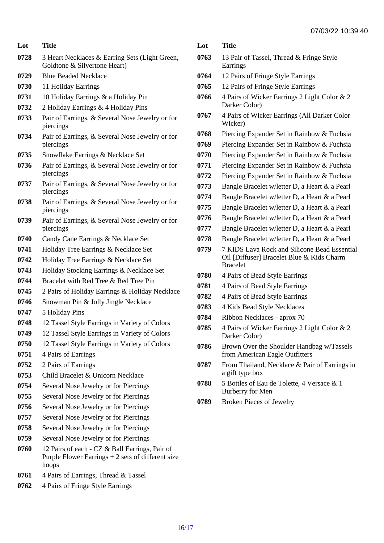| Lot  | Title                                                                          | Lot          |
|------|--------------------------------------------------------------------------------|--------------|
|      |                                                                                |              |
| 0728 | 3 Heart Necklaces & Earring Sets (Light Green,<br>Goldtone & Silvertone Heart) | 0763         |
| 0729 | <b>Blue Beaded Necklace</b>                                                    | 0764         |
| 0730 | 11 Holiday Earrings                                                            | 0765         |
| 0731 | 10 Holiday Earrings & a Holiday Pin                                            | 0766         |
| 0732 | 2 Holiday Earrings & 4 Holiday Pins                                            |              |
| 0733 | Pair of Earrings, & Several Nose Jewelry or for<br>piercings                   | 0767         |
| 0734 | Pair of Earrings, & Several Nose Jewelry or for<br>piercings                   | 0768<br>0769 |
| 0735 | Snowflake Earrings & Necklace Set                                              | 0770         |
| 0736 | Pair of Earrings, & Several Nose Jewelry or for<br>piercings                   | 0771<br>0772 |
| 0737 | Pair of Earrings, & Several Nose Jewelry or for<br>piercings                   | 0773         |
| 0738 | Pair of Earrings, & Several Nose Jewelry or for<br>piercings                   | 0774<br>0775 |
| 0739 | Pair of Earrings, & Several Nose Jewelry or for<br>piercings                   | 0776<br>0777 |
| 0740 | Candy Cane Earrings & Necklace Set                                             | 0778         |
| 0741 | Holiday Tree Earrings & Necklace Set                                           | 0779         |
| 0742 | Holiday Tree Earrings & Necklace Set                                           |              |
| 0743 | Holiday Stocking Earrings & Necklace Set                                       |              |
| 0744 | Bracelet with Red Tree & Red Tree Pin                                          | 0780         |
| 0745 | 2 Pairs of Holiday Earrings & Holiday Necklace                                 | 0781         |
| 0746 | Snowman Pin & Jolly Jingle Necklace                                            | 0782         |
| 0747 | 5 Holiday Pins                                                                 | 0783         |
| 0748 | 12 Tassel Style Earrings in Variety of Colors                                  | 0784         |
| 0749 | 12 Tassel Style Earrings in Variety of Colors                                  | 0785         |
| 0750 | 12 Tassel Style Earrings in Variety of Colors                                  | 0786         |
| 0751 | 4 Pairs of Earrings                                                            |              |
| 0752 | 2 Pairs of Earrings                                                            | 0787         |
| 0753 | Child Bracelet & Unicorn Necklace                                              |              |
| 0754 | Several Nose Jewelry or for Piercings                                          | 0788         |
| 0755 | Several Nose Jewelry or for Piercings                                          |              |
| 0756 | Several Nose Jewelry or for Piercings                                          | 0789         |
| 0757 | Several Nose Jewelry or for Piercings                                          |              |
| 0758 | Several Nose Jewelry or for Piercings                                          |              |
| 0759 | Several Nose Jewelry or for Piercings                                          |              |
| 0760 | 12 Pairs of each - CZ & Ball Earrings, Pair of                                 |              |
|      | Purple Flower Earrings + 2 sets of different size<br>hoops                     |              |
| 0761 | 4 Pairs of Earrings, Thread & Tassel                                           |              |

0762 4 Pairs of Fringe Style Earrings

| Lot | Title |
|-----|-------|
|     |       |

- 13 Pair of Tassel, Thread & Fringe Style Earrings
- 12 Pairs of Fringe Style Earrings
- 12 Pairs of Fringe Style Earrings
- 4 Pairs of Wicker Earrings 2 Light Color & 2 Darker Color)
- 4 Pairs of Wicker Earrings (All Darker Color Wicker)
- Piercing Expander Set in Rainbow & Fuchsia
- Piercing Expander Set in Rainbow & Fuchsia
- Piercing Expander Set in Rainbow & Fuchsia
- Piercing Expander Set in Rainbow & Fuchsia
- Piercing Expander Set in Rainbow & Fuchsia
- Bangle Bracelet w/letter D, a Heart & a Pearl Bangle Bracelet w/letter D, a Heart & a Pearl
- Bangle Bracelet w/letter D, a Heart & a Pearl
- Bangle Bracelet w/letter D, a Heart & a Pearl
- Bangle Bracelet w/letter D, a Heart & a Pearl
- Bangle Bracelet w/letter D, a Heart & a Pearl
- 0779 7 KIDS Lava Rock and Silicone Bead Essential Oil [Diffuser] Bracelet Blue & Kids Charm Bracelet
- 4 Pairs of Bead Style Earrings
- 4 Pairs of Bead Style Earrings
- 4 Pairs of Bead Style Earrings
- 4 Kids Bead Style Necklaces
- Ribbon Necklaces aprox 70
- 4 Pairs of Wicker Earrings 2 Light Color & 2 Darker Color)
- Brown Over the Shoulder Handbag w/Tassels from American Eagle Outfitters
- From Thailand, Necklace & Pair of Earrings in a gift type box
- 5 Bottles of Eau de Tolette, 4 Versace & 1 Burberry for Men
- Broken Pieces of Jewelry